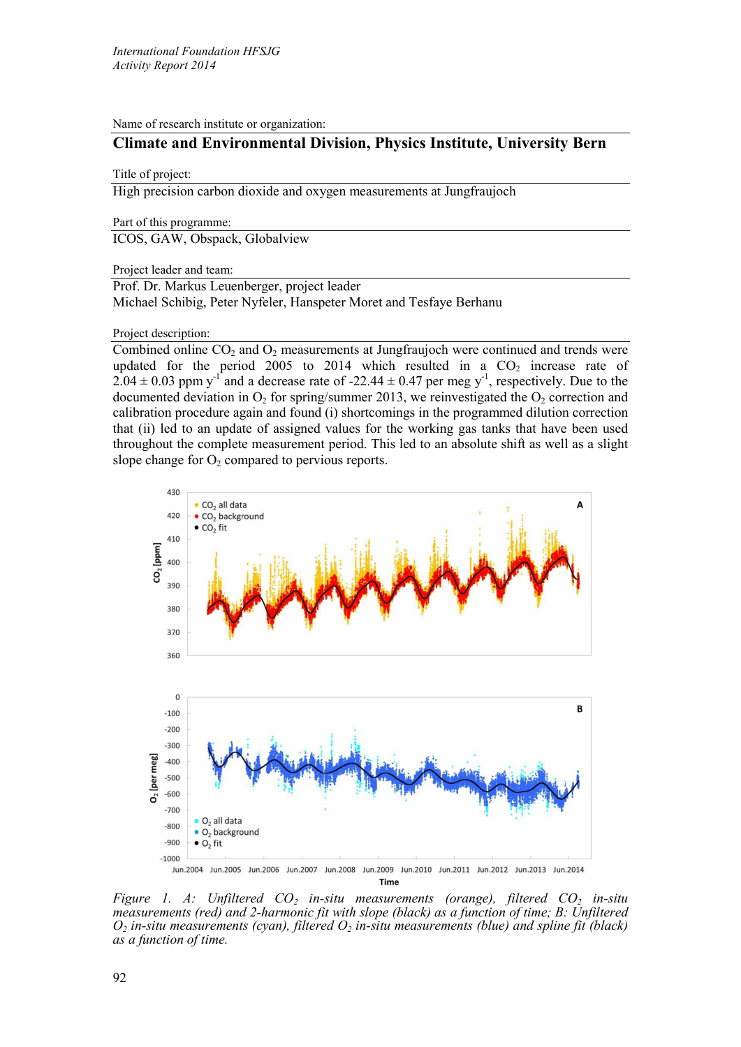Name of research institute or organization:

# **Climate and Environmental Division, Physics Institute, University Bern**

## Title of project:

High precision carbon dioxide and oxygen measurements at Jungfraujoch

Part of this programme:

ICOS, GAW, Obspack, Globalview

Project leader and team:

Prof. Dr. Markus Leuenberger, project leader Michael Schibig, Peter Nyfeler, Hanspeter Moret and Tesfaye Berhanu

Project description:

Combined online  $CO<sub>2</sub>$  and  $O<sub>2</sub>$  measurements at Jungfraujoch were continued and trends were updated for the period 2005 to 2014 which resulted in a  $CO<sub>2</sub>$  increase rate of  $2.04 \pm 0.03$  ppm y<sup>-1</sup> and a decrease rate of -22.44  $\pm$  0.47 per meg y<sup>-1</sup>, respectively. Due to the documented deviation in  $O_2$  for spring/summer 2013, we reinvestigated the  $O_2$  correction and calibration procedure again and found (i) shortcomings in the programmed dilution correction that (ii) led to an update of assigned values for the working gas tanks that have been used throughout the complete measurement period. This led to an absolute shift as well as a slight slope change for  $O<sub>2</sub>$  compared to pervious reports.



*Figure 1. A: Unfiltered CO<sub>2</sub> in-situ measurements (orange), filtered CO<sub>2</sub> in-situ measurements (red) and 2-harmonic fit with slope (black) as a function of time; B: Unfiltered*   $O_2$  *in-situ measurements (cyan), filtered*  $O_2$  *in-situ measurements (blue) and spline fit (black) as a function of time.*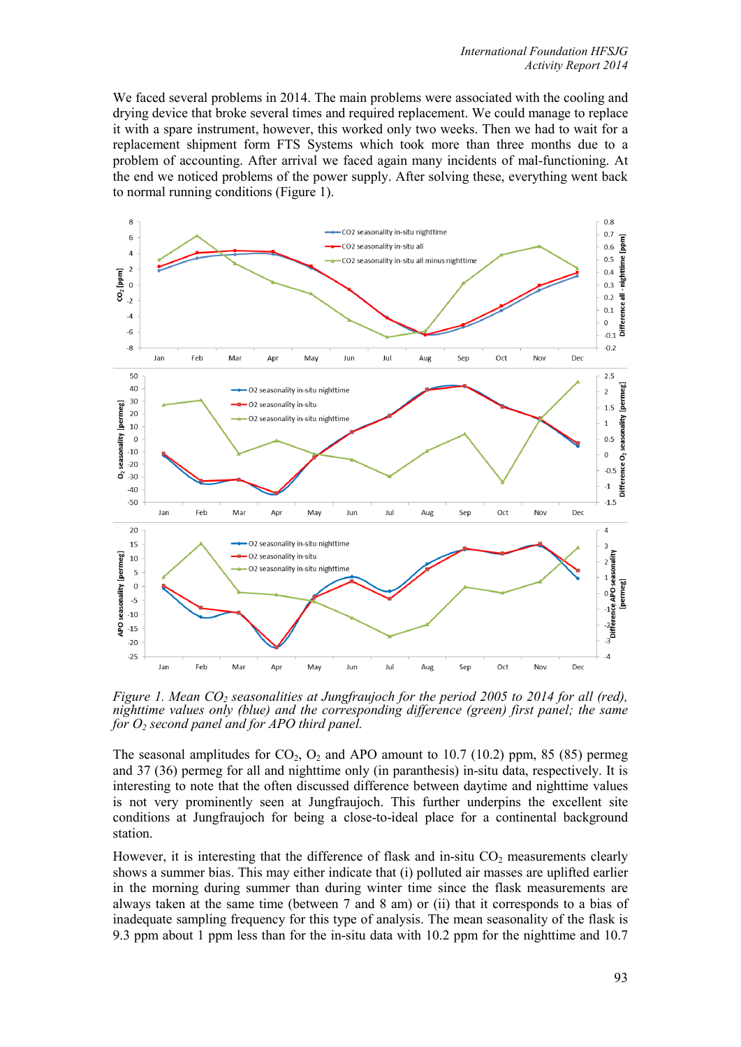We faced several problems in 2014. The main problems were associated with the cooling and drying device that broke several times and required replacement. We could manage to replace it with a spare instrument, however, this worked only two weeks. Then we had to wait for a replacement shipment form FTS Systems which took more than three months due to a problem of accounting. After arrival we faced again many incidents of mal-functioning. At the end we noticed problems of the power supply. After solving these, everything went back to normal running conditions (Figure 1).



*Figure 1. Mean CO<sub>2</sub> seasonalities at Jungfraujoch for the period 2005 to 2014 for all (red), nighttime values only (blue) and the corresponding difference (green) first panel; the same for O2 second panel and for APO third panel.*

The seasonal amplitudes for  $CO_2$ ,  $O_2$  and APO amount to 10.7 (10.2) ppm, 85 (85) permeg and 37 (36) permeg for all and nighttime only (in paranthesis) in-situ data, respectively. It is interesting to note that the often discussed difference between daytime and nighttime values is not very prominently seen at Jungfraujoch. This further underpins the excellent site conditions at Jungfraujoch for being a close-to-ideal place for a continental background station.

However, it is interesting that the difference of flask and in-situ  $CO<sub>2</sub>$  measurements clearly shows a summer bias. This may either indicate that (i) polluted air masses are uplifted earlier in the morning during summer than during winter time since the flask measurements are always taken at the same time (between 7 and 8 am) or (ii) that it corresponds to a bias of inadequate sampling frequency for this type of analysis. The mean seasonality of the flask is 9.3 ppm about 1 ppm less than for the in-situ data with 10.2 ppm for the nighttime and 10.7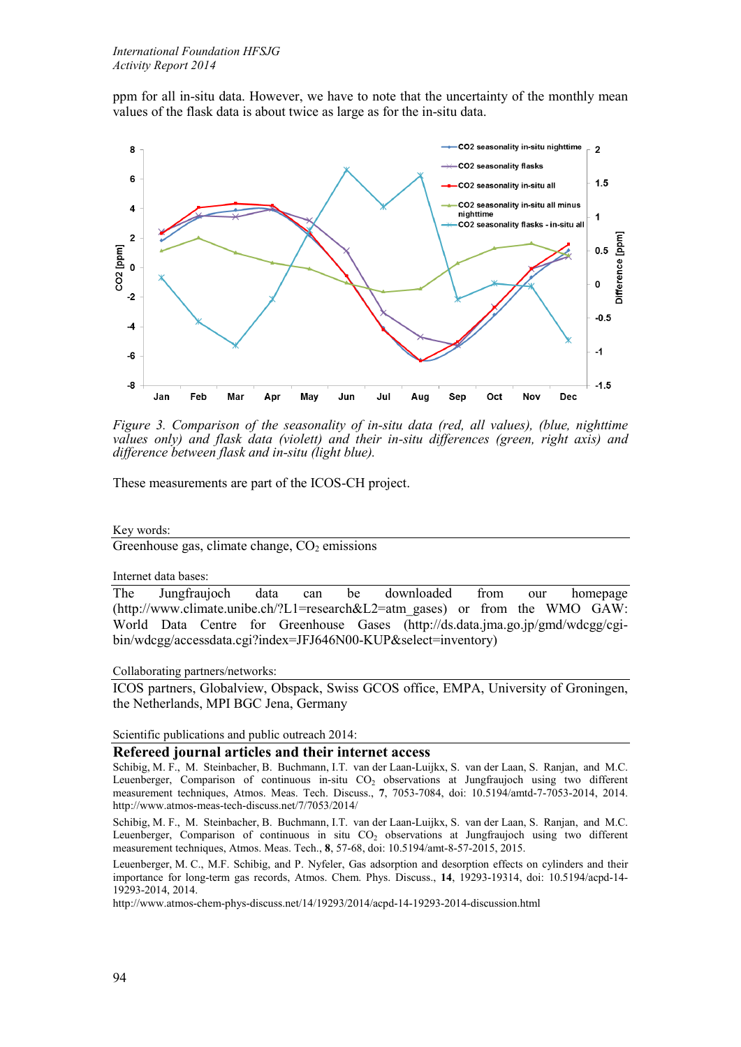ppm for all in-situ data. However, we have to note that the uncertainty of the monthly mean values of the flask data is about twice as large as for the in-situ data.



*Figure 3. Comparison of the seasonality of in-situ data (red, all values), (blue, nighttime values only) and flask data (violett) and their in-situ differences (green, right axis) and difference between flask and in-situ (light blue).*

These measurements are part of the ICOS-CH project.

Key words:

Greenhouse gas, climate change,  $CO<sub>2</sub>$  emissions

Internet data bases:

The Jungfraujoch data can be downloaded from our homepage (http://www.climate.unibe.ch/?L1=research&L2=atm\_gases) or from the WMO GAW: World Data Centre for Greenhouse Gases (http://ds.data.jma.go.jp/gmd/wdcgg/cgibin/wdcgg/accessdata.cgi?index=JFJ646N00-KUP&select=inventory)

Collaborating partners/networks:

ICOS partners, Globalview, Obspack, Swiss GCOS office, EMPA, University of Groningen, the Netherlands, MPI BGC Jena, Germany

Scientific publications and public outreach 2014:

## **Refereed journal articles and their internet access**

Schibig, M. F., M. Steinbacher, B. Buchmann, I.T. van der Laan-Luijkx, S. van der Laan, S. Ranjan, and M.C. Leuenberger, Comparison of continuous in-situ CO<sub>2</sub> observations at Jungfraujoch using two different measurement techniques, Atmos. Meas. Tech. Discuss., **7**, 7053-7084, doi: 10.5194/amtd-7-7053-2014, 2014. http://www.atmos-meas-tech-discuss.net/7/7053/2014/

Schibig, M. F., M. Steinbacher, B. Buchmann, I.T. van der Laan-Luijkx, S. van der Laan, S. Ranjan, and M.C. Leuenberger, Comparison of continuous in situ CO<sub>2</sub> observations at Jungfraujoch using two different measurement techniques, Atmos. Meas. Tech., **8**, 57-68, doi: 10.5194/amt-8-57-2015, 2015.

Leuenberger, M. C., M.F. Schibig, and P. Nyfeler, Gas adsorption and desorption effects on cylinders and their importance for long-term gas records, Atmos. Chem. Phys. Discuss., **14**, 19293-19314, doi: 10.5194/acpd-14- 19293-2014, 2014.

http://www.atmos-chem-phys-discuss.net/14/19293/2014/acpd-14-19293-2014-discussion.html